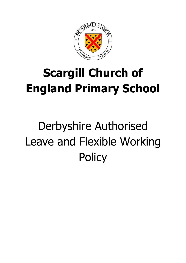

# **Scargill Church of England Primary School**

# Derbyshire Authorised Leave and Flexible Working **Policy**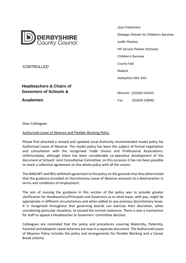

'CONTROLLED'

# **Headteachers & Chairs of Governors of Schools &**

**Academies**

1. Jane Parfrement Strategic Director for Children's Services Judith Sharkey HR Service Partner (Schools) Children's Services County Hall Matlock Derbyshire DE4 3AG Minicom: (01629) 533240

Fax: (01629) 538992

Dear Colleagues

#### Authorised Leave of Absence and Flexible Working Policy

Please find attached a revised and updated Local Authority recommended model policy for Authorised Leave of Absence. The model policy has been the subject of formal negotiation and consultation with the recognised Trade Unions and Professional Associations. Unfortunately, although there has been considerable co-operative development of the document at Schools' Joint Consultative Committee, on this occasion it has not been possible to reach a collective agreement on the whole policy with all the unions.

The NASUWT and NEU withheld agreement to the policy on the grounds that they determined that the guidance provided on Discretionary Leave of Absence amounts to a deterioration in terms and conditions of employment.

The aim of revising the guidance in this section of the policy was to provide greater clarification for Headteachers/Principals and Governors as to what leave, with pay, might be appropriate in different circumstances and when added to any previous discretionary leave. It is recognised throughout that governing boards can exercise their discretion, when considering particular situations, to exceed the normal maximum. There is also a mechanism for staff to appeal a Headteacher or Governors' committee decision.

Colleagues are reminded that the policy and procedures covering Maternity, Paternity, Parental and Adoption Leave Schemes are now in a separate document. The Authorised Leave of Absence Policy includes the policy and arrangements for Flexible Working and a Career Break scheme.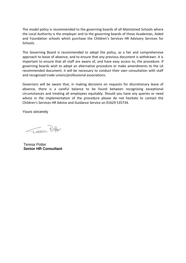The model policy is recommended to the governing boards of all Maintained Schools where the Local Authority is the employer and to the governing boards of those Academies, Aided and Foundation schools which purchase the Children's Services HR Advisory Services for Schools.

The Governing Board is recommended to adopt the policy, as a fair and comprehensive approach to leave of absence, and to ensure that any previous document is withdrawn. It is important to ensure that all staff are aware of, and have easy access to, the procedure. If governing boards wish to adopt an alternative procedure or make amendments to the LA recommended document, it will be necessary to conduct their own consultation with staff and recognised trade unions/professional associations.

Governors will be aware that, in making decisions on requests for discretionary leave of absence, there is a careful balance to be found between recognising exceptional circumstances and treating all employees equitably. Should you have any queries or need advice in the implementation of the procedure please do not hesitate to contact the Children's Services HR Advice and Guidance Service on 01629 535734.

Yours sincerely

Jevece Potter

Teresa Potter **Senior HR Consultant**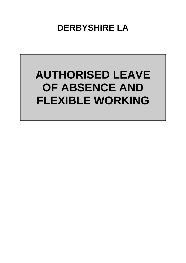**DERBYSHIRE LA**

# **AUTHORISED LEAVE OF ABSENCE AND FLEXIBLE WORKING**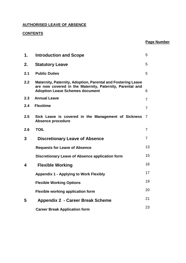# **AUTHORISED LEAVE OF ABSENCE**

# **CONTENTS**

| Page Number |
|-------------|
|             |

| 1.  | <b>Introduction and Scope</b>                                                                                                                                       | 5              |
|-----|---------------------------------------------------------------------------------------------------------------------------------------------------------------------|----------------|
| 2.  | <b>Statutory Leave</b>                                                                                                                                              | 5              |
| 2.1 | <b>Public Duties</b>                                                                                                                                                | 5              |
| 2.2 | Maternity, Paternity, Adoption, Parental and Fostering Leave<br>are now covered in the Maternity, Paternity, Parental and<br><b>Adoption Leave Schemes document</b> | 6              |
| 2.3 | <b>Annual Leave</b>                                                                                                                                                 | $\overline{7}$ |
| 2.4 | <b>Flexitime</b>                                                                                                                                                    | $\overline{7}$ |
| 2.5 | Sick Leave is covered in the Management of Sickness<br><b>Absence procedure</b>                                                                                     | 7              |
| 2.6 | <b>TOIL</b>                                                                                                                                                         | 7              |
| 3   | <b>Discretionary Leave of Absence</b>                                                                                                                               | 7              |
|     | <b>Requests for Leave of Absence</b>                                                                                                                                | 13             |
|     | <b>Discretionary Leave of Absence application form</b>                                                                                                              | 15             |
| 4   | <b>Flexible Working</b>                                                                                                                                             | 16             |
|     | <b>Appendix 1 - Applying to Work Flexibly</b>                                                                                                                       | 17             |
|     | <b>Flexible Working Options</b>                                                                                                                                     | 19             |
|     | <b>Flexible working application form</b>                                                                                                                            | 20             |
| 5   | <b>Appendix 2 - Career Break Scheme</b>                                                                                                                             | 21             |
|     | <b>Career Break Application form</b>                                                                                                                                | 23             |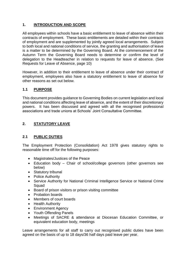# **1. INTRODUCTION AND SCOPE**

All employees within schools have a basic entitlement to leave of absence within their contracts of employment. These basic entitlements are detailed within their contracts of employment and are supplemented by jointly agreed local arrangements. Subject to both local and national conditions of service, the granting and authorisation of leave is a matter to be determined by the Governing Board. At the commencement of the Autumn Term the Governing Board needs to determine or confirm the level of delegation to the Headteacher in relation to requests for leave of absence. (See Requests for Leave of Absence, page 10)

However, in addition to their entitlement to leave of absence under their contract of employment, employees also have a statutory entitlement to leave of absence for other reasons as set out below.

#### **1.1 PURPOSE**

This document provides guidance to Governing Bodies on current legislation and local and national conditions affecting leave of absence, and the extent of their discretionary powers. It has been discussed and agreed with all the recognised professional associations and trade unions at Schools' Joint Consultative Committee.

### **2. STATUTORY LEAVE**

#### **2.1 PUBLIC DUTIES**

The Employment Protection (Consolidation) Act 1978 gives statutory rights to reasonable time off for the following purposes:

- Magistrates/Justices of the Peace
- Education body Chair of school/college governors (other governors see below)
- Statutory tribunal
- Police Authority
- Service Authority for National Criminal Intelligence Service or National Crime Squad
- Board of prison visitors or prison visiting committee
- Probation boards
- Members of court boards
- Health Authority
- Environment Agency
- Youth Offending Panels
- Meetings of SACRE & attendance at Diocesan Education Committee, or equivalent education body, meetings

Leave arrangements for all staff to carry out recognised public duties have been agreed on the basis of up to 18 days/36 half days paid leave per year.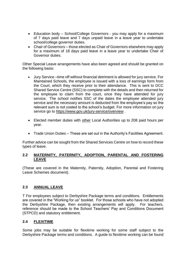- Education body School/College Governors you may apply for a maximum of 7 days paid leave and 7 days unpaid leave in a leave year to undertake school/college governor duties.
- Chair of Governors those elected as Chair of Governors elsewhere may apply for a maximum of 18 days paid leave in a leave year to undertake Chair of Governor duties.

Other Special Leave arrangements have also been agreed and should be granted on the following basis:

- Jury Service –time off without financial detriment is allowed for jury service. For Maintained Schools, the employee is issued with a loss of earnings form from the Court, which they receive prior to their attendance. This is sent to DCC Shared Service Centre (SSC) to complete with the details and then returned for the employee to claim from the court, once they have attended for jury service. The school notifies SSC of the dates the employee attended jury service and the necessary amount is deducted from the employee's pay so the relevant sum is not costed to the school's budget. For more information on jury service go to<https://www.gov.uk/jury-service/overview> .
- Elected member duties with other Local Authorities up to 208 paid hours per year.
- Trade Union Duties These are set out in the Authority's Facilities Agreement.

Further advice can be sought from the Shared Services Centre on how to record these types of leave.

#### **2.2 MATERNITY, PATERNITY, ADOPTION, PARENTAL AND FOSTERING LEAVE**

(These are covered in the Maternity, Paternity, Adoption, Parental and Fostering Leave Schemes document).

#### **2.3 ANNUAL LEAVE**

T For employees subject to Derbyshire Package terms and conditions. Entitlements are covered in the "Working for us" booklet. For those schools who have not adopted the Derbyshire Package, then existing arrangements will apply. For teachers, reference should be made to the School Teachers' Pay and Conditions Document (STPCD) and statutory entitlement.

#### **2.4 FLEXITIME**

Some jobs may be suitable for flexitime working for some staff subject to the Derbyshire Package terms and conditions. A guide to flexitime working can be found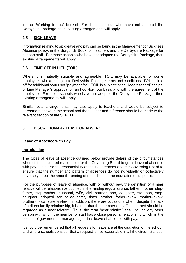in the "Working for us" booklet. For those schools who have not adopted the Derbyshire Package, then existing arrangements will apply.

# **2.5 SICK LEAVE**

Information relating to sick leave and pay can be found in the Management of Sickness Absence policy, in the Burgundy Book for Teachers and the Derbyshire Package for support staff. For those schools who have not adopted the Derbyshire Package, then existing arrangements will apply.

# **2.6 TIME OFF IN LIEU (TOIL)**

Where it is mutually suitable and agreeable, TOIL may be available for some employees who are subject to Derbyshire Package terms and conditions. TOIL is time off for additional hours not "payment for". TOIL is subject to the Headteacher/Principal or Line Manager's approval on an hour-for-hour basis and with the agreement of the employee. For those schools who have not adopted the Derbyshire Package, then existing arrangements will apply.

Similar local arrangements may also apply to teachers and would be subject to agreement between the school and the teacher and reference should be made to the relevant section of the STPCD.

# **3. DISCRETIONARY LEAVE OF ABSENCE**

### **Leave of Absence with Pay**

#### **Introduction**

The types of leave of absence outlined below provide details of the circumstances where it is considered reasonable for the Governing Board to grant leave of absence with pay. It is also the responsibility of the Headteacher and the Governing Board to ensure that the number and pattern of absences do not individually or collectively adversely affect the smooth-running of the school or the education of its pupils.

For the purposes of leave of absence, with or without pay, the definition of a near relative will be relationships outlined in the kinship regulations i.e. father, mother, stepfather, step-mother, husband, wife, civil partner, son, daughter, step-son, stepdaughter, adopted son or daughter, sister, brother, father-in-law, mother-in-law, brother-in-law, sister-in-law. In addition, there are occasions when, despite the lack of a direct family relationship, it is clear that the member of staff concerned should be regarded as a near relative. Thus, the term "near relative" shall include any other person with whom the member of staff has a close personal relationship which, in the opinion of governors or managers, justifies leave of absence with pay.

It should be remembered that all requests for leave are at the discretion of the school, and where schools consider that a request is not reasonable in all the circumstances,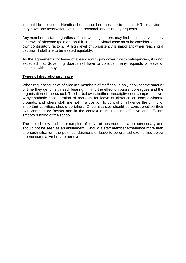it should be declined. Headteachers should not hesitate to contact HR for advice if they have any reservations as to the reasonableness of any requests.

Any member of staff, regardless of their working pattern, may find it necessary to apply for leave of absence (paid or unpaid). Each individual case must be considered on its own contributory factors. A high level of consistency is important when reaching a decision if staff are to be treated equitably.

As the agreements for leave of absence with pay cover most contingencies, it is not expected that Governing Boards will have to consider many requests of leave of absence without pay.

#### **Types of discretionary leave**

When requesting leave of absence members of staff should only apply for the amount of time they genuinely need, bearing in mind the effect on pupils, colleagues and the organisation of the school. The list below is neither prescriptive nor comprehensive. A sympathetic consideration of requests for leave of absence on compassionate grounds, and where staff are not in a position to control or influence the timing of important activities, should be taken. Circumstances should be considered on their own contributory factors and in the context of maintaining effective and efficient smooth running of the school.

The table below outlines examples of leave of absence that are discretionary and should not be seen as an entitlement. Should a staff member experience more than one such situation, the potential durations of leave to be granted exemplified below are not cumulative but are per event.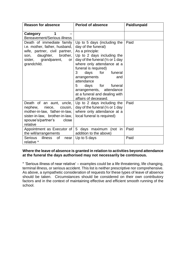| <b>Reason for absence</b>                                                                                                                                                 | <b>Period of absence</b>                                                                                                                                                                                                                                                                                                                                                           | Paid/unpaid |
|---------------------------------------------------------------------------------------------------------------------------------------------------------------------------|------------------------------------------------------------------------------------------------------------------------------------------------------------------------------------------------------------------------------------------------------------------------------------------------------------------------------------------------------------------------------------|-------------|
| 1<br>Category<br><b>Bereavement/Serious illness</b>                                                                                                                       |                                                                                                                                                                                                                                                                                                                                                                                    |             |
| Death of immediate family<br>i.e. mother, father, husband,<br>wife, partner, civil partner,<br>daughter,<br>brother,<br>son,<br>sister, grandparent,<br>or<br>grandchild. | Up to 5 days (including the<br>day of the funeral)<br>As a principle:<br>Up to 2 days including the<br>day of the funeral $\frac{1}{2}$ or 1 day<br>where only attendance at a<br>funeral is required)<br>3<br>days for funeral<br>arrangements<br>and<br>attendance<br>5<br>days for funeral<br>arrangements, attendance<br>at a funeral and dealing with<br>affairs of deceased. | Paid        |
| Death of an aunt, uncle,<br>nephew,<br>niece,<br>cousin,<br>mother-in-law, father-in-law,<br>sister-in-law, brother-in-law,<br>spouse's/partner's<br>close<br>relative    | Up to 2 days including the<br>day of the funeral $\frac{1}{2}$ or 1 day<br>where only attendance at a<br>local funeral is required)                                                                                                                                                                                                                                                | Paid        |
| Appointment as Executor of<br>the will/arrangements                                                                                                                       | 5 days maximum (not in<br>addition to the above)                                                                                                                                                                                                                                                                                                                                   | Paid        |
| Serious<br>illness<br>0f<br>near<br>relative *                                                                                                                            | Up to 5 days                                                                                                                                                                                                                                                                                                                                                                       | Paid        |

#### **Where the leave of absence is granted in relation to activities beyond attendance at the funeral the days authorised may not necessarily be continuous.**

\* 'Serious illness of near relative' – examples could be a life threatening, life changing, terminal illness, or serious accident. This list is neither prescriptive nor comprehensive. As above, a sympathetic consideration of requests for these types of leave of absence should be taken. Circumstances should be considered on their own contributory factors and in the context of maintaining effective and efficient smooth running of the school.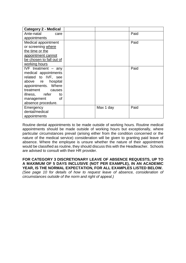| <b>Category 2 - Medical</b> |           |      |
|-----------------------------|-----------|------|
| Ante-natal<br>care          |           | Paid |
| appointments                |           |      |
| Medical appointment         |           | Paid |
| or screening where          |           |      |
| the time or the             |           |      |
| appointment cannot          |           |      |
| be chosen to fall out of    |           |      |
| working hours               |           |      |
| IVF treatment $-$ any       |           | Paid |
| medical appointments        |           |      |
| related to IVF, see         |           |      |
| above re hospital           |           |      |
| appointments. Where         |           |      |
| treatment<br>causes         |           |      |
| illness, refer<br>to        |           |      |
| <b>of</b><br>management     |           |      |
| absence procedure.          |           |      |
| Emergency                   | Max 1 day | Paid |
| dental/medical              |           |      |
| appointments                |           |      |

Routine dental appointments to be made outside of working hours. Routine medical appointments should be made outside of working hours but exceptionally, where particular circumstances prevail (arising either from the condition concerned or the nature of the medical service) consideration will be given to granting paid leave of absence. Where the employee is unsure whether the nature of their appointment would be classified as routine, they should discuss this with the Headteacher. Schools are advised to consult with their HR provider.

**FOR CATEGORY 3 DISCRETIONARY LEAVE OF ABSENCE REQUESTS, UP TO A MAXIMUM OF 5 DAYS INCLUSIVE (NOT PER EXAMPLE), IN AN ACADEMIC YEAR, IS THE NORMAL EXPECTATION, FOR ALL EXAMPLES LISTED BELOW.** *(See page 10 for details of how to request leave of absence, consideration of* 

*circumstances outside of the norm and right of appeal.)*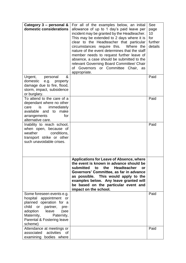| Category 3 - personal &<br>domestic considerations<br>Urgent,<br>personal<br>&                                                                                                                                 | For all of the examples below, an initial<br>allowance of up to 1 day's paid leave per<br>incident may be granted by the Headteacher.<br>This may be extended to 2 days where it is<br>clear to the Headteacher that particular<br>Where the<br>circumstances require this.<br>nature of the event determines that the staff<br>member needs to request further leave of<br>absence, a case should be submitted to the<br>relevant Governing Board Committee/ Chair<br>of Governors or Committee Chair, as<br>appropriate. | See<br>page<br>10<br>for<br>further<br>details<br>Paid |
|----------------------------------------------------------------------------------------------------------------------------------------------------------------------------------------------------------------|----------------------------------------------------------------------------------------------------------------------------------------------------------------------------------------------------------------------------------------------------------------------------------------------------------------------------------------------------------------------------------------------------------------------------------------------------------------------------------------------------------------------------|--------------------------------------------------------|
| domestic<br>e.g. property<br>damage due to fire, flood,<br>storm, impact, subsidence<br>or burglary.                                                                                                           |                                                                                                                                                                                                                                                                                                                                                                                                                                                                                                                            |                                                        |
| To attend to the care of a<br>dependant where no other<br>immediately<br>is<br>care<br>available and to make<br>for<br>arrangements<br>alternative care.                                                       |                                                                                                                                                                                                                                                                                                                                                                                                                                                                                                                            | Paid                                                   |
| Inability to reach school,<br>when open, because of<br>conditions,<br>weather<br>transport strike or other<br>such unavoidable crises.                                                                         |                                                                                                                                                                                                                                                                                                                                                                                                                                                                                                                            | Paid                                                   |
|                                                                                                                                                                                                                | <b>Applications for Leave of Absence, where</b><br>the event is known in advance should be<br>submitted<br>the<br><b>Headteacher</b><br>to<br>or<br>Governors' Committee, as far in advance<br>as possible. This would apply to the<br>examples below. Any leave granted will<br>be based on the particular event and<br>impact on the school.                                                                                                                                                                             |                                                        |
| Some foreseen events e.g.<br>hospital appointment or<br>planned operation for a<br>child or partner,<br>pre-<br>adoption<br>leave<br>(see<br>Maternity,<br>Paternity,<br>Parental & Fostering leave<br>scheme) |                                                                                                                                                                                                                                                                                                                                                                                                                                                                                                                            | Paid                                                   |
| Attendance at meetings or<br>activities<br>associated<br>0f<br>examining bodies where                                                                                                                          |                                                                                                                                                                                                                                                                                                                                                                                                                                                                                                                            | Paid                                                   |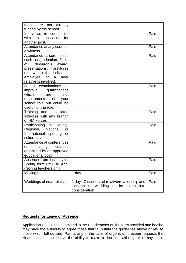| these are not already<br>funded by the school.                                                                                                                                                       |                                                                                                               |      |
|------------------------------------------------------------------------------------------------------------------------------------------------------------------------------------------------------|---------------------------------------------------------------------------------------------------------------|------|
| Interviews in connection<br>with an application for<br>another post.                                                                                                                                 |                                                                                                               | Paid |
| Attendance at any court as<br>a witness                                                                                                                                                              |                                                                                                               | Paid |
| Attendance at ceremonies<br>such as graduation, Duke<br>Edinburgh's<br>of<br>award,<br>presentations, investitures<br>etc. where the individual<br>employee or<br>a<br>near<br>relative is involved. |                                                                                                               | Paid |
| Sitting examinations<br>to<br>improve qualifications<br>which<br>are<br>not<br>requirements of<br>your<br>school role but could be<br>useful for the role.                                           |                                                                                                               | Paid |
| Training and associated<br>activities with any branch<br>of HM Forces                                                                                                                                |                                                                                                               | Paid |
| Participating in County,<br>Regional,<br>National<br>or<br>International sporting<br>or<br>cultural event.                                                                                           |                                                                                                               | Paid |
| Attendance at conferences<br>training courses<br>or<br>organised by an approved<br>educational body.                                                                                                 |                                                                                                               | Paid |
| Absence from last day of<br>Spring term until 30 April<br>(retiring teachers only)                                                                                                                   |                                                                                                               | Paid |
| Moving house                                                                                                                                                                                         | 1 day                                                                                                         | Paid |
| Weddings of near relatives                                                                                                                                                                           | 1 day - Closeness of relative/relationship and<br>location of wedding<br>to be taken<br>into<br>consideration | Paid |

#### **Requests for Leave of Absence**

Applications should be submitted to the Headteacher on the form provided and he/she may have the authority to agree those that fall within the guidelines above or refuse those which fall outside. Particularly in the case of urgent, unforeseen requests the Headteacher should have the ability to make a decision, although this may be in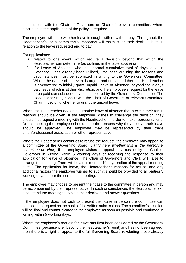consultation with the Chair of Governors or Chair of relevant committee, where discretion in the application of the policy is required.

The employee will state whether leave is sought with or without pay. Throughout, the Headteacher's, or a committee's, response will make clear their decision both in relation to the leave requested and to pay.

For applications:-

- $\triangleright$  related to one event, which require a decision beyond that which the Headteacher can determine (as outlined in the table above) or
- $\triangleright$  for Leave of Absence when the normal cumulative total of days leave in Category 3 has already been utilised, the case outlining the reasons and circumstances must be submitted in writing to the Governors' Committee. Where the nature of the event is urgent and unplanned then the Headteacher is empowered to initially grant unpaid Leave of Absence, beyond the 2 days paid leave which is at their discretion, and the employee's request for the leave to be paid can subsequently be considered by the Governors' Committee. The Headteacher may consult with the Chair of Governors or relevant Committee Chair in deciding whether to grant the unpaid leave.

Where the Headteacher does not authorise leave of absence that is within their remit, reasons should be given. If the employee wishes to challenge the decision, they should first request a meeting with the Headteacher in order to make representations. At this meeting the employee should state the reasons why they believe their leave should be approved. The employee may be represented by their trade union/professional association or other representative.

Where the Headteacher continues to refuse the request, the employee may appeal to a committee of the Governing Board *(clarify here whether this is the personnel committee or other).* If the employee wishes to appeal they must notify the Chair of Governors in writing within 5 working days of receiving the response to their application for leave of absence. The Chair of Governors and Clerk will liaise to arrange the meeting. There will be a minimum of 10 days' notice of the appeal meeting date. The application for leave, the Headteacher's reasons for refusal and any additional factors the employee wishes to submit should be provided to all parties 5 working days before the committee meeting.

The employee may choose to present their case to the committee in person and may be accompanied by their representative. In such circumstances the Headteacher will also attend the meeting to explain their decision and answer questions.

If the employee does not wish to present their case in person the committee can consider the request on the basis of the written submissions. The committee's decision will be final and communicated to the employee as soon as possible and confirmed in writing within 5 working days.

Where the employee's request for leave has **first** been considered by the Governors' Committee (because it fell beyond the Headteacher's remit) and has not been agreed, then there is a right of appeal to the full Governing Board (excluding those already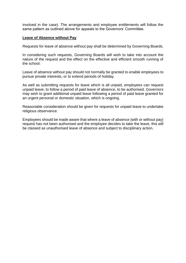involved in the case). The arrangements and employee entitlements will follow the same pattern as outlined above for appeals to the Governors' Committee.

#### **Leave of Absence without Pay**

Requests for leave of absence without pay shall be determined by Governing Boards.

In considering such requests, Governing Boards will wish to take into account the nature of the request and the effect on the effective and efficient smooth running of the school.

Leave of absence without pay should not normally be granted to enable employees to pursue private interests, or to extend periods of holiday.

As well as submitting requests for leave which is all unpaid, employees can request unpaid leave, to follow a period of paid leave of absence, to be authorised. Governors may wish to grant additional unpaid leave following a period of paid leave granted for an urgent personal or domestic situation, which is ongoing.

Reasonable consideration should be given for requests for unpaid leave to undertake religious observance.

Employees should be made aware that where a leave of absence (with or without pay) request has not been authorised and the employee decides to take the leave, this will be classed as unauthorised leave of absence and subject to disciplinary action.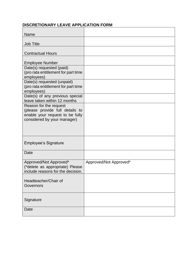# **DISCRETIONARY LEAVE APPLICATION FORM**

| <b>Name</b>                                                          |                        |
|----------------------------------------------------------------------|------------------------|
| <b>Job Title</b>                                                     |                        |
|                                                                      |                        |
| <b>Contractual Hours</b>                                             |                        |
| <b>Employee Number</b>                                               |                        |
| Date(s) requested (paid)                                             |                        |
| (pro rata entitlement for part time<br>employees)                    |                        |
| Date(s) requested (unpaid)                                           |                        |
| (pro rata entitlement for part time<br>employees)                    |                        |
| Date(s) of any previous special                                      |                        |
| leave taken within 12 months                                         |                        |
| Reason for the request<br>(please provide full details to            |                        |
| enable your request to be fully                                      |                        |
| considered by your manager)                                          |                        |
|                                                                      |                        |
|                                                                      |                        |
| <b>Employee's Signature</b>                                          |                        |
|                                                                      |                        |
| <b>Date</b>                                                          |                        |
| Approved/Not Approved*                                               | Approved/Not Approved* |
| (*delete as appropriate) Please<br>include reasons for the decision. |                        |
|                                                                      |                        |
| Headteacher/Chair of                                                 |                        |
| Governors                                                            |                        |
|                                                                      |                        |
| Signature                                                            |                        |
| <b>Date</b>                                                          |                        |
|                                                                      |                        |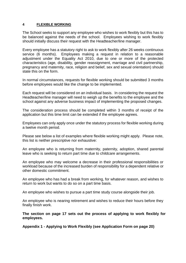#### **4 FLEXIBLE WORKING**

The School seeks to support any employee who wishes to work flexibly but this has to be balanced against the needs of the school. Employees wishing to work flexibly should initially discuss their request with the Headteacher/line manager.

Every employee has a statutory right to ask to work flexibly after 26 weeks continuous service (6 months). Employees making a request in relation to a reasonable adjustment under the Equality Act 2010, due to one or more of the protected characteristics (age, disability, gender reassignment, marriage and civil partnership, pregnancy and maternity, race, religion and belief, sex and sexual orientation) should state this on the form.

In normal circumstances, requests for flexible working should be submitted 3 months before employees would like the change to be implemented.

Each request will be considered on an individual basis. In considering the request the Headteacher/line manager will need to weigh up the benefits to the employee and the school against any adverse business impact of implementing the proposed changes.

The consideration process should be completed within 3 months of receipt of the application but this time limit can be extended if the employee agrees.

Employees can only apply once under the statutory process for flexible working during a twelve month period.

Please see below a list of examples where flexible working might apply. Please note, this list is neither prescriptive nor exhaustive:

An employee who is returning from maternity, paternity, adoption, shared parental leave who is seeking to return part time due to childcare arrangements.

An employee who may welcome a decrease in their professional responsibilities or workload because of the increased burden of responsibility for a dependent relative or other domestic commitment.

An employee who has had a break from working, for whatever reason, and wishes to return to work but wants to do so on a part time basis.

An employee who wishes to pursue a part time study course alongside their job.

An employee who is nearing retirement and wishes to reduce their hours before they finally finish work.

**The section on page 17 sets out the process of applying to work flexibly for employees.**

**Appendix 1 - Applying to Work Flexibly (see Application Form on page 20)**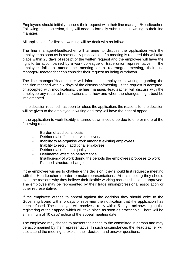Employees should initially discuss their request with their line manager/Headteacher. Following this discussion, they will need to formally submit this in writing to their line manager.

All applications for flexible working will be dealt with as follows:

The line manager/Headteacher will arrange to discuss the application with the employee as soon as is reasonably practicable. If a meeting is required this will take place within 28 days of receipt of the written request and the employee will have the right to be accompanied by a work colleague or trade union representative. If the employee fails to attend the meeting or a rearranged meeting, their line manager/Headteacher can consider their request as being withdrawn.

The line manager/Headteacher will inform the employee in writing regarding the decision reached within 7 days of the discussion/meeting. If the request is accepted, or accepted with modifications, the line manager/Headteacher will discuss with the employee any required modifications and how and when the changes might best be implemented.

If the decision reached has been to refuse the application, the reasons for the decision will be given to the employee in writing and they will have the right of appeal.

If the application to work flexibly is turned down it could be due to one or more of the following reasons:

- Burden of additional costs
- Detrimental effect to service delivery
- Inability to re-organise work amongst existing employees
- Inability to recruit additional employees
- Detrimental effect on quality
- Detrimental effect on performance
- Insufficiency of work during the periods the employees proposes to work
- Planned structural changes

If the employee wishes to challenge the decision, they should first request a meeting with the Headteacher in order to make representations. At this meeting they should state the reasons why they believe their flexible working request should be approved. The employee may be represented by their trade union/professional association or other representative.

If the employee wishes to appeal against the decision they should write to the Governing Board within 5 days of receiving the notification that the application has been refused. The employee will receive a reply within 5 days, acknowledging the registering of their appeal which will take place as soon as practicable. There will be a minimum of 10 days' notice of the appeal meeting date.

The employee may choose to present their case to the committee in person and may be accompanied by their representative. In such circumstances the Headteacher will also attend the meeting to explain their decision and answer questions.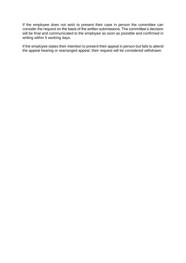If the employee does not wish to present their case in person the committee can consider the request on the basis of the written submissions. The committee's decision will be final and communicated to the employee as soon as possible and confirmed in writing within 5 working days.

If the employee states their intention to present their appeal in person but fails to attend the appeal hearing or rearranged appeal, their request will be considered withdrawn.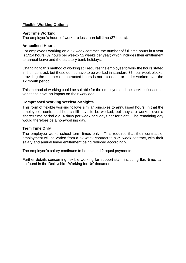#### **Flexible Working Options**

#### **Part Time Working**

The employee's hours of work are less than full time (37 hours).

#### **Annualised Hours**

For employees working on a 52 week contract, the number of full time hours in a year is 1924 hours (37 hours per week x 52 weeks per year) which includes their entitlement to annual leave and the statutory bank holidays.

Changing to this method of working still requires the employee to work the hours stated in their contract, but these do not have to be worked in standard 37 hour week blocks, providing the number of contracted hours is not exceeded or under worked over the 12 month period.

This method of working could be suitable for the employee and the service if seasonal variations have an impact on their workload.

#### **Compressed Working Weeks/Fortnights**

This form of flexible working follows similar principles to annualised hours, in that the employee's contracted hours still have to be worked, but they are worked over a shorter time period e.g. 4 days per week or 9 days per fortnight. The remaining day would therefore be a non-working day.

#### **Term Time Only**

The employee works school term times only. This requires that their contract of employment will be varied from a 52 week contract to a 39 week contract, with their salary and annual leave entitlement being reduced accordingly.

The employee's salary continues to be paid in 12 equal payments.

Further details concerning flexible working for support staff, including flexi-time, can be found in the Derbyshire 'Working for Us' document.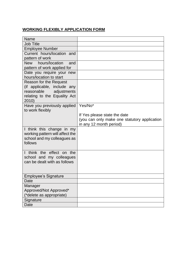# **WORKING FLEXIBLY APPLICATION FORM**

| Name                                                  |                                              |
|-------------------------------------------------------|----------------------------------------------|
| <b>Job Title</b>                                      |                                              |
| <b>Employee Number</b>                                |                                              |
| Current hours/location and                            |                                              |
| pattern of work                                       |                                              |
| New hours/location<br>and                             |                                              |
| pattern of work applied for                           |                                              |
| Date you require your new                             |                                              |
| hours/location to start                               |                                              |
| Reason for the Request                                |                                              |
| (if applicable, include any                           |                                              |
| reasonable<br>adjustments                             |                                              |
| relating to the Equality Act<br>2010)                 |                                              |
| Have you previously applied                           | Yes/No*                                      |
| to work flexibly                                      |                                              |
|                                                       | If Yes please state the date                 |
|                                                       | (you can only make one statutory application |
|                                                       | in any 12 month period)                      |
| I think this change in my                             |                                              |
| working pattern will affect the                       |                                              |
| school and my colleagues as                           |                                              |
| follows                                               |                                              |
|                                                       |                                              |
| I think the effect on the<br>school and my colleagues |                                              |
| can be dealt with as follows                          |                                              |
|                                                       |                                              |
|                                                       |                                              |
| <b>Employee's Signature</b>                           |                                              |
| Date                                                  |                                              |
| Manager                                               |                                              |
| Approved/Not Approved*                                |                                              |
| (*delete as appropriate)                              |                                              |
| Signature                                             |                                              |
| Date                                                  |                                              |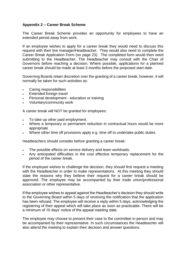#### **Appendix 2 – Career Break Scheme**

The Career Break Scheme provides an opportunity for employees to have an extended period away from work.

If an employee wishes to apply for a career break they would need to discuss this request with their line manager/Headteacher. They would also need to complete the Career Break Application Form (on page 23). The completed form would then need submitting to the Headteacher. The Headteacher may consult with the Chair of Governors before reaching a decision. Where possible, applications for a planned career break should be made at least 3 months before the proposed start date.

Governing Boards retain discretion over the granting of a career break, however, it will normally be taken for such activities as:

- Caring responsibilities
- **Extended foreign travel**
- Personal development education or training
- Voluntary/community work

A career break will NOT be granted for employees:

- To take up other paid employment.
- Where a temporary or permanent reduction in contractual hours would be more appropriate
- Where other time off provisions apply e.g. time off to undertake public duties

Headteachers should consider before granting a career break:

- The possible effects on service delivery and team workloads.
- Any anticipated difficulties in the cost effective temporary replacement for the period of the career break.

If the employee wishes to challenge the decision, they should first request a meeting with the Headteacher in order to make representations. At this meeting they should state the reasons why they believe their request for a career break should be approved. The employee may be accompanied by their trade union/professional association or other representative.

If the employee wishes to appeal against the Headteacher's decision they should write to the Governing Board within 5 days of receiving the notification that the application has been refused. The employee will receive a reply within 5 days, acknowledging the registering of their appeal which will take place as soon as practicable. There will be a minimum of 10 days' notice of the appeal meeting date.

The employee may choose to present their case to the committee in person and may be accompanied by their representative. In such circumstances the Headteacher will also attend the meeting to explain their decision and answer questions.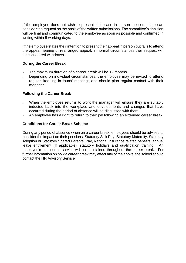If the employee does not wish to present their case in person the committee can consider the request on the basis of the written submissions. The committee's decision will be final and communicated to the employee as soon as possible and confirmed in writing within 5 working days.

If the employee states their intention to present their appeal in person but fails to attend the appeal hearing or rearranged appeal, in normal circumstances their request will be considered withdrawn.

#### **During the Career Break**

- The maximum duration of a career break will be 12 months.
- Depending on individual circumstances, the employee may be invited to attend regular 'keeping in touch' meetings and should plan regular contact with their manager.

#### **Following the Career Break**

- When the employee returns to work the manager will ensure they are suitably inducted back into the workplace and developments and changes that have occurred during the period of absence will be discussed with them.
- An employee has a right to return to their job following an extended career break.

#### **Conditions for Career Break Scheme**

During any period of absence when on a career break, employees should be advised to consider the impact on their pensions, Statutory Sick Pay, Statutory Maternity. Statutory Adoption or Statutory Shared Parental Pay, National Insurance related benefits, annual leave entitlement (If applicable), statutory holidays and qualification training. An employee's continuous service will be maintained throughout the career break. For further information on how a career break may affect any of the above, the school should contact the HR Advisory Service